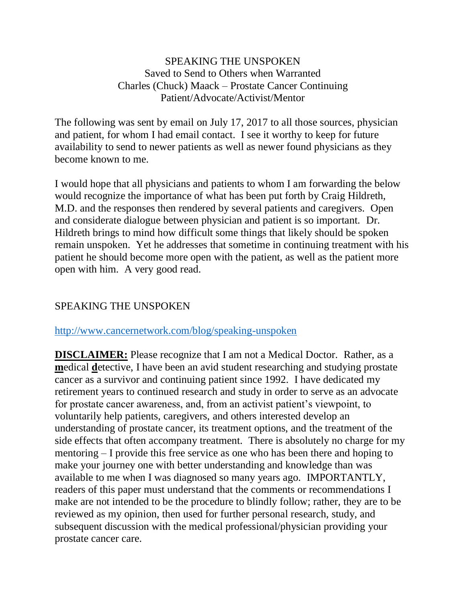## SPEAKING THE UNSPOKEN Saved to Send to Others when Warranted Charles (Chuck) Maack – Prostate Cancer Continuing Patient/Advocate/Activist/Mentor

The following was sent by email on July 17, 2017 to all those sources, physician and patient, for whom I had email contact. I see it worthy to keep for future availability to send to newer patients as well as newer found physicians as they become known to me.

I would hope that all physicians and patients to whom I am forwarding the below would recognize the importance of what has been put forth by Craig Hildreth, M.D. and the responses then rendered by several patients and caregivers. Open and considerate dialogue between physician and patient is so important. Dr. Hildreth brings to mind how difficult some things that likely should be spoken remain unspoken. Yet he addresses that sometime in continuing treatment with his patient he should become more open with the patient, as well as the patient more open with him. A very good read.

## SPEAKING THE UNSPOKEN

## <http://www.cancernetwork.com/blog/speaking-unspoken>

**DISCLAIMER:** Please recognize that I am not a Medical Doctor. Rather, as a **m**edical **d**etective, I have been an avid student researching and studying prostate cancer as a survivor and continuing patient since 1992. I have dedicated my retirement years to continued research and study in order to serve as an advocate for prostate cancer awareness, and, from an activist patient's viewpoint, to voluntarily help patients, caregivers, and others interested develop an understanding of prostate cancer, its treatment options, and the treatment of the side effects that often accompany treatment. There is absolutely no charge for my mentoring – I provide this free service as one who has been there and hoping to make your journey one with better understanding and knowledge than was available to me when I was diagnosed so many years ago. IMPORTANTLY, readers of this paper must understand that the comments or recommendations I make are not intended to be the procedure to blindly follow; rather, they are to be reviewed as my opinion, then used for further personal research, study, and subsequent discussion with the medical professional/physician providing your prostate cancer care.